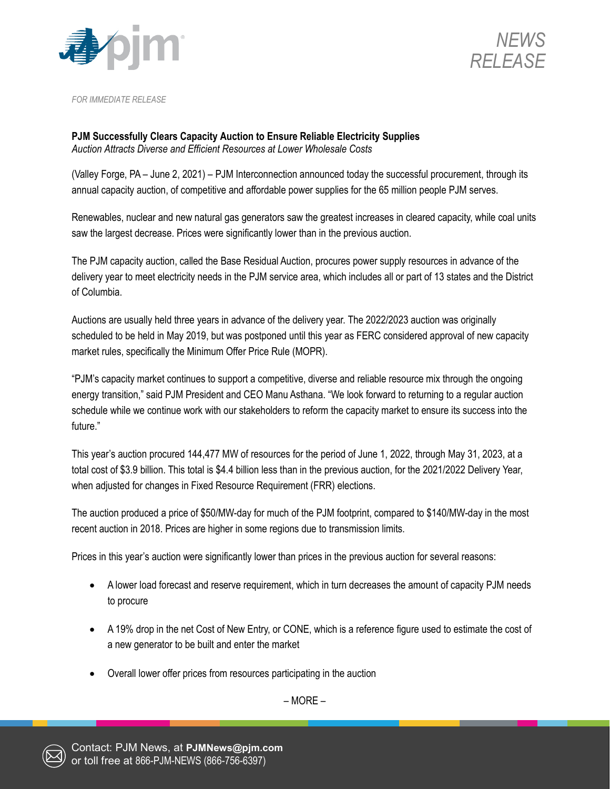



*FOR IMMEDIATE RELEASE*

**PJM Successfully Clears Capacity Auction to Ensure Reliable Electricity Supplies** *Auction Attracts Diverse and Efficient Resources at Lower Wholesale Costs*

(Valley Forge, PA – June 2, 2021) – PJM Interconnection announced today the successful procurement, through its annual capacity auction, of competitive and affordable power supplies for the 65 million people PJM serves.

Renewables, nuclear and new natural gas generators saw the greatest increases in cleared capacity, while coal units saw the largest decrease. Prices were significantly lower than in the previous auction.

The PJM capacity auction, called the Base Residual Auction, procures power supply resources in advance of the delivery year to meet electricity needs in the PJM service area, which includes all or part of 13 states and the District of Columbia.

Auctions are usually held three years in advance of the delivery year. The 2022/2023 auction was originally scheduled to be held in May 2019, but was postponed until this year as FERC considered approval of new capacity market rules, specifically the Minimum Offer Price Rule (MOPR).

"PJM's capacity market continues to support a competitive, diverse and reliable resource mix through the ongoing energy transition," said PJM President and CEO Manu Asthana. "We look forward to returning to a regular auction schedule while we continue work with our stakeholders to reform the capacity market to ensure its success into the future."

This year's auction procured 144,477 MW of resources for the period of June 1, 2022, through May 31, 2023, at a total cost of \$3.9 billion. This total is \$4.4 billion less than in the previous auction, for the 2021/2022 Delivery Year, when adjusted for changes in Fixed Resource Requirement (FRR) elections.

The auction produced a price of \$50/MW-day for much of the PJM footprint, compared to \$140/MW-day in the most recent auction in 2018. Prices are higher in some regions due to transmission limits.

Prices in this year's auction were significantly lower than prices in the previous auction for several reasons:

- A lower load forecast and reserve requirement, which in turn decreases the amount of capacity PJM needs to procure
- A 19% drop in the net Cost of New Entry, or CONE, which is a reference figure used to estimate the cost of a new generator to be built and enter the market
- Overall lower offer prices from resources participating in the auction

– MORE –

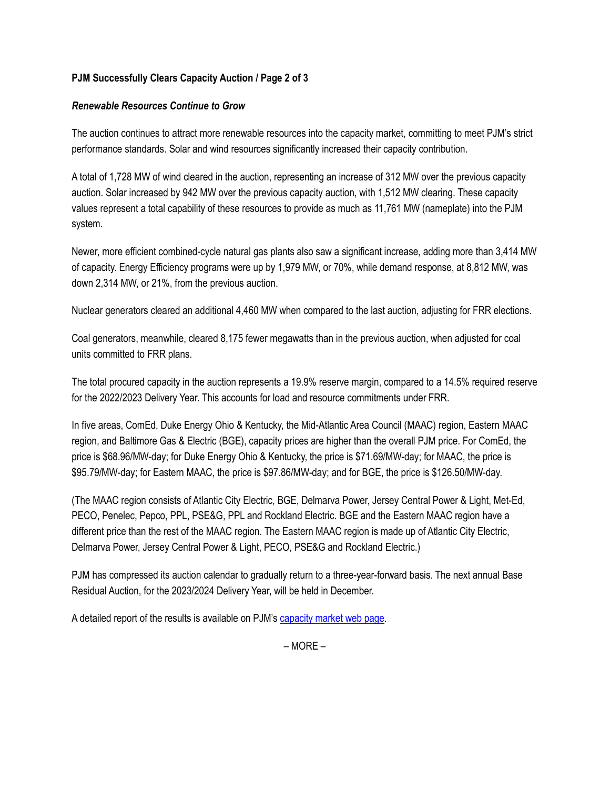# **PJM Successfully Clears Capacity Auction / Page 2 of 3**

# *Renewable Resources Continue to Grow*

The auction continues to attract more renewable resources into the capacity market, committing to meet PJM's strict performance standards. Solar and wind resources significantly increased their capacity contribution.

A total of 1,728 MW of wind cleared in the auction, representing an increase of 312 MW over the previous capacity auction. Solar increased by 942 MW over the previous capacity auction, with 1,512 MW clearing. These capacity values represent a total capability of these resources to provide as much as 11,761 MW (nameplate) into the PJM system.

Newer, more efficient combined-cycle natural gas plants also saw a significant increase, adding more than 3,414 MW of capacity. Energy Efficiency programs were up by 1,979 MW, or 70%, while demand response, at 8,812 MW, was down 2,314 MW, or 21%, from the previous auction.

Nuclear generators cleared an additional 4,460 MW when compared to the last auction, adjusting for FRR elections.

Coal generators, meanwhile, cleared 8,175 fewer megawatts than in the previous auction, when adjusted for coal units committed to FRR plans.

The total procured capacity in the auction represents a 19.9% reserve margin, compared to a 14.5% required reserve for the 2022/2023 Delivery Year. This accounts for load and resource commitments under FRR.

In five areas, ComEd, Duke Energy Ohio & Kentucky, the Mid-Atlantic Area Council (MAAC) region, Eastern MAAC region, and Baltimore Gas & Electric (BGE), capacity prices are higher than the overall PJM price. For ComEd, the price is \$68.96/MW-day; for Duke Energy Ohio & Kentucky, the price is \$71.69/MW-day; for MAAC, the price is \$95.79/MW-day; for Eastern MAAC, the price is \$97.86/MW-day; and for BGE, the price is \$126.50/MW-day.

(The MAAC region consists of Atlantic City Electric, BGE, Delmarva Power, Jersey Central Power & Light, Met-Ed, PECO, Penelec, Pepco, PPL, PSE&G, PPL and Rockland Electric. BGE and the Eastern MAAC region have a different price than the rest of the MAAC region. The Eastern MAAC region is made up of Atlantic City Electric, Delmarva Power, Jersey Central Power & Light, PECO, PSE&G and Rockland Electric.)

PJM has compressed its auction calendar to gradually return to a three-year-forward basis. The next annual Base Residual Auction, for the 2023/2024 Delivery Year, will be held in December.

A detailed report of the results is available on PJM's [capacity market](https://pjm.com/markets-and-operations/rpm.aspx) web page.

– MORE –